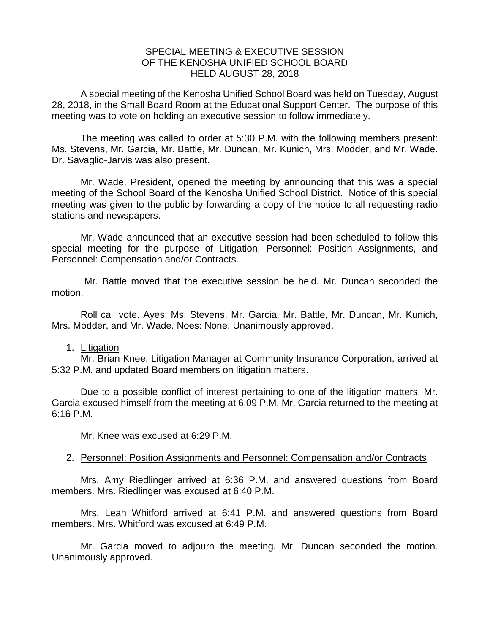## SPECIAL MEETING & EXECUTIVE SESSION OF THE KENOSHA UNIFIED SCHOOL BOARD HELD AUGUST 28, 2018

A special meeting of the Kenosha Unified School Board was held on Tuesday, August 28, 2018, in the Small Board Room at the Educational Support Center. The purpose of this meeting was to vote on holding an executive session to follow immediately.

The meeting was called to order at 5:30 P.M. with the following members present: Ms. Stevens, Mr. Garcia, Mr. Battle, Mr. Duncan, Mr. Kunich, Mrs. Modder, and Mr. Wade. Dr. Savaglio-Jarvis was also present.

Mr. Wade, President, opened the meeting by announcing that this was a special meeting of the School Board of the Kenosha Unified School District. Notice of this special meeting was given to the public by forwarding a copy of the notice to all requesting radio stations and newspapers.

Mr. Wade announced that an executive session had been scheduled to follow this special meeting for the purpose of Litigation, Personnel: Position Assignments, and Personnel: Compensation and/or Contracts.

Mr. Battle moved that the executive session be held. Mr. Duncan seconded the motion.

Roll call vote. Ayes: Ms. Stevens, Mr. Garcia, Mr. Battle, Mr. Duncan, Mr. Kunich, Mrs. Modder, and Mr. Wade. Noes: None. Unanimously approved.

## 1. Litigation

Mr. Brian Knee, Litigation Manager at Community Insurance Corporation, arrived at 5:32 P.M. and updated Board members on litigation matters.

Due to a possible conflict of interest pertaining to one of the litigation matters, Mr. Garcia excused himself from the meeting at 6:09 P.M. Mr. Garcia returned to the meeting at 6:16 P.M.

Mr. Knee was excused at 6:29 P.M.

## 2. Personnel: Position Assignments and Personnel: Compensation and/or Contracts

Mrs. Amy Riedlinger arrived at 6:36 P.M. and answered questions from Board members. Mrs. Riedlinger was excused at 6:40 P.M.

Mrs. Leah Whitford arrived at 6:41 P.M. and answered questions from Board members. Mrs. Whitford was excused at 6:49 P.M.

Mr. Garcia moved to adjourn the meeting. Mr. Duncan seconded the motion. Unanimously approved.